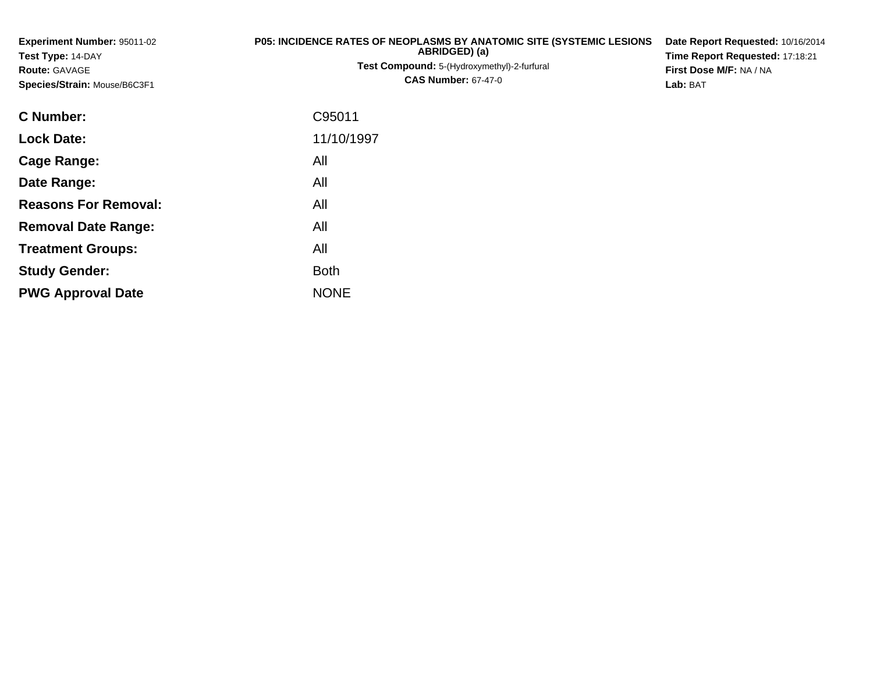**Experiment Number:** 95011-02**Test Type:** 14-DAY**Route:** GAVAGE **Species/Strain:** Mouse/B6C3F1**P05: INCIDENCE RATES OF NEOPLASMS BY ANATOMIC SITE (SYSTEMIC LESIONSABRIDGED) (a)Test Compound:** 5-(Hydroxymethyl)-2-furfural **CAS Number:** 67-47-0**Date Report Requested:** 10/16/2014**Time Report Requested:** 17:18:21**First Dose M/F:** NA / NA**Lab:** BAT**C Number:** C95011**Lock Date:** 11/10/1997**Cage Range:** All **Date Range:** All **Reasons For Removal:**All

**Removal Date Range:**

**Treatment Groups:**

**PWG Approval Date**

**Study Gender:**

: All

NONE

All

**Example 1** South 2 and 2 and 2 and 2 and 2 and 2 and 2 and 2 and 2 and 2 and 2 and 2 and 2 and 2 and 2 and 2 an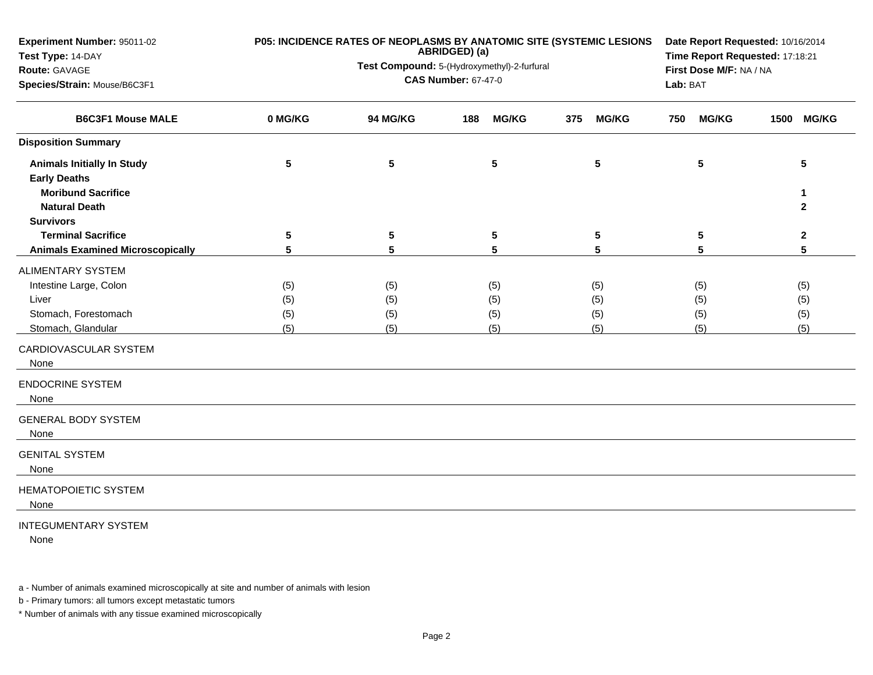| Experiment Number: 95011-02<br>Test Type: 14-DAY<br>Route: GAVAGE<br>Species/Strain: Mouse/B6C3F1             | P05: INCIDENCE RATES OF NEOPLASMS BY ANATOMIC SITE (SYSTEMIC LESIONS | Date Report Requested: 10/16/2014<br>Time Report Requested: 17:18:21<br>First Dose M/F: NA / NA<br>Lab: BAT |                          |                          |                          |                          |
|---------------------------------------------------------------------------------------------------------------|----------------------------------------------------------------------|-------------------------------------------------------------------------------------------------------------|--------------------------|--------------------------|--------------------------|--------------------------|
| <b>B6C3F1 Mouse MALE</b>                                                                                      | 0 MG/KG                                                              | 94 MG/KG                                                                                                    | <b>MG/KG</b><br>188      | <b>MG/KG</b><br>375      | <b>MG/KG</b><br>750      | <b>MG/KG</b><br>1500     |
| <b>Disposition Summary</b>                                                                                    |                                                                      |                                                                                                             |                          |                          |                          |                          |
| <b>Animals Initially In Study</b><br><b>Early Deaths</b><br><b>Moribund Sacrifice</b><br><b>Natural Death</b> | 5                                                                    | 5                                                                                                           | 5                        | 5                        | 5                        | 5<br>1<br>$\mathbf{2}$   |
| <b>Survivors</b>                                                                                              |                                                                      |                                                                                                             |                          |                          |                          |                          |
| <b>Terminal Sacrifice</b>                                                                                     | 5                                                                    | 5                                                                                                           | 5                        | 5                        | 5                        | $\mathbf{2}$             |
| <b>Animals Examined Microscopically</b>                                                                       | 5                                                                    | 5                                                                                                           | 5                        | 5                        | 5                        | 5                        |
| ALIMENTARY SYSTEM<br>Intestine Large, Colon<br>Liver<br>Stomach, Forestomach<br>Stomach, Glandular            | (5)<br>(5)<br>(5)<br>(5)                                             | (5)<br>(5)<br>(5)<br>(5)                                                                                    | (5)<br>(5)<br>(5)<br>(5) | (5)<br>(5)<br>(5)<br>(5) | (5)<br>(5)<br>(5)<br>(5) | (5)<br>(5)<br>(5)<br>(5) |
| CARDIOVASCULAR SYSTEM<br>None                                                                                 |                                                                      |                                                                                                             |                          |                          |                          |                          |
| <b>ENDOCRINE SYSTEM</b><br>None                                                                               |                                                                      |                                                                                                             |                          |                          |                          |                          |
| <b>GENERAL BODY SYSTEM</b><br>None                                                                            |                                                                      |                                                                                                             |                          |                          |                          |                          |
| <b>GENITAL SYSTEM</b><br>None                                                                                 |                                                                      |                                                                                                             |                          |                          |                          |                          |
| <b>HEMATOPOIETIC SYSTEM</b><br>None                                                                           |                                                                      |                                                                                                             |                          |                          |                          |                          |
| <b>INTEGUMENTARY SYSTEM</b>                                                                                   |                                                                      |                                                                                                             |                          |                          |                          |                          |

None

a - Number of animals examined microscopically at site and number of animals with lesion

b - Primary tumors: all tumors except metastatic tumors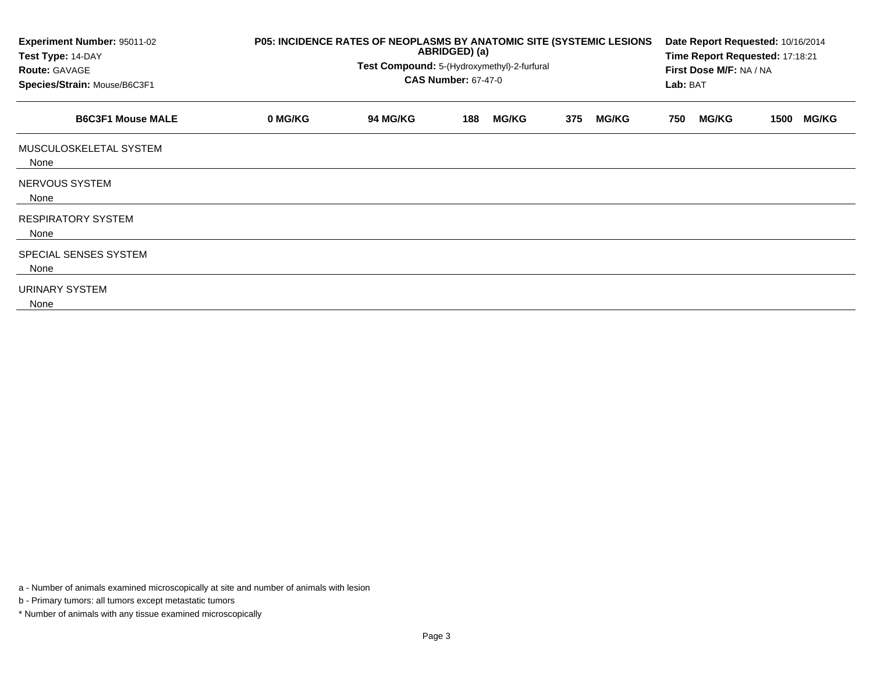| Experiment Number: 95011-02<br>Test Type: 14-DAY<br><b>Route: GAVAGE</b><br>Species/Strain: Mouse/B6C3F1 | P05: INCIDENCE RATES OF NEOPLASMS BY ANATOMIC SITE (SYSTEMIC LESIONS<br>ABRIDGED) (a)<br>Test Compound: 5-(Hydroxymethyl)-2-furfural<br><b>CAS Number: 67-47-0</b> |          |     |              |     |              |     | Date Report Requested: 10/16/2014<br>Time Report Requested: 17:18:21<br>First Dose M/F: NA / NA<br>Lab: BAT |      |              |  |
|----------------------------------------------------------------------------------------------------------|--------------------------------------------------------------------------------------------------------------------------------------------------------------------|----------|-----|--------------|-----|--------------|-----|-------------------------------------------------------------------------------------------------------------|------|--------------|--|
| <b>B6C3F1 Mouse MALE</b>                                                                                 | 0 MG/KG                                                                                                                                                            | 94 MG/KG | 188 | <b>MG/KG</b> | 375 | <b>MG/KG</b> | 750 | <b>MG/KG</b>                                                                                                | 1500 | <b>MG/KG</b> |  |
| MUSCULOSKELETAL SYSTEM<br>None                                                                           |                                                                                                                                                                    |          |     |              |     |              |     |                                                                                                             |      |              |  |
| NERVOUS SYSTEM<br>None                                                                                   |                                                                                                                                                                    |          |     |              |     |              |     |                                                                                                             |      |              |  |
| <b>RESPIRATORY SYSTEM</b><br>None                                                                        |                                                                                                                                                                    |          |     |              |     |              |     |                                                                                                             |      |              |  |
| SPECIAL SENSES SYSTEM<br>None                                                                            |                                                                                                                                                                    |          |     |              |     |              |     |                                                                                                             |      |              |  |
| URINARY SYSTEM<br>None                                                                                   |                                                                                                                                                                    |          |     |              |     |              |     |                                                                                                             |      |              |  |

a - Number of animals examined microscopically at site and number of animals with lesion

b - Primary tumors: all tumors except metastatic tumors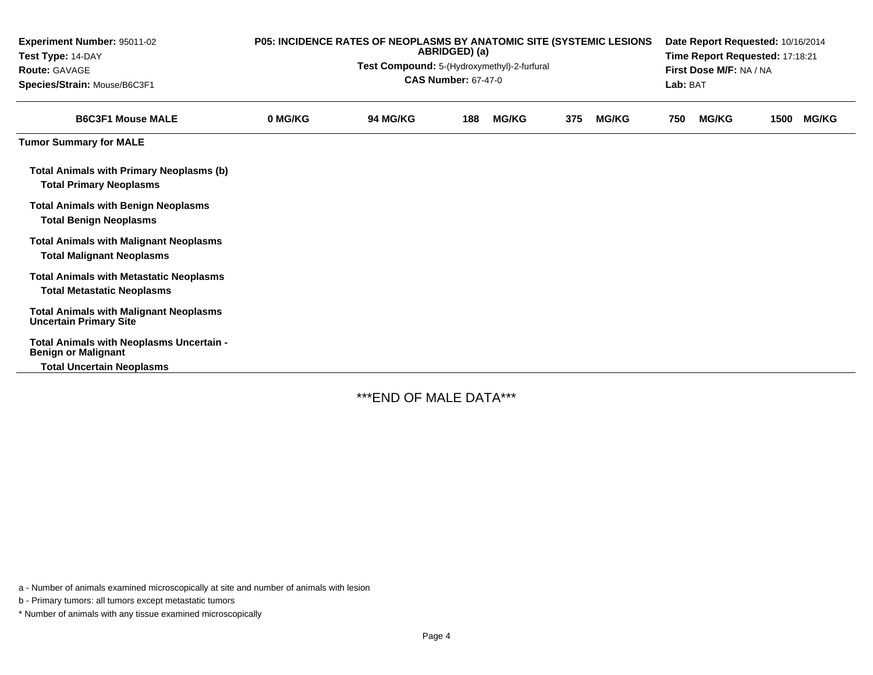| <b>Experiment Number: 95011-02</b><br>Test Type: 14-DAY<br><b>Route: GAVAGE</b><br>Species/Strain: Mouse/B6C3F1 | P05: INCIDENCE RATES OF NEOPLASMS BY ANATOMIC SITE (SYSTEMIC LESIONS<br>ABRIDGED) (a)<br>Test Compound: 5-(Hydroxymethyl)-2-furfural<br><b>CAS Number: 67-47-0</b> |                 |     |              |     |              |     | Date Report Requested: 10/16/2014<br>Time Report Requested: 17:18:21<br>First Dose M/F: NA / NA<br>Lab: BAT |      |              |  |  |
|-----------------------------------------------------------------------------------------------------------------|--------------------------------------------------------------------------------------------------------------------------------------------------------------------|-----------------|-----|--------------|-----|--------------|-----|-------------------------------------------------------------------------------------------------------------|------|--------------|--|--|
| <b>B6C3F1 Mouse MALE</b>                                                                                        | 0 MG/KG                                                                                                                                                            | <b>94 MG/KG</b> | 188 | <b>MG/KG</b> | 375 | <b>MG/KG</b> | 750 | <b>MG/KG</b>                                                                                                | 1500 | <b>MG/KG</b> |  |  |
| <b>Tumor Summary for MALE</b>                                                                                   |                                                                                                                                                                    |                 |     |              |     |              |     |                                                                                                             |      |              |  |  |
| <b>Total Animals with Primary Neoplasms (b)</b><br><b>Total Primary Neoplasms</b>                               |                                                                                                                                                                    |                 |     |              |     |              |     |                                                                                                             |      |              |  |  |
| <b>Total Animals with Benign Neoplasms</b><br><b>Total Benign Neoplasms</b>                                     |                                                                                                                                                                    |                 |     |              |     |              |     |                                                                                                             |      |              |  |  |
| <b>Total Animals with Malignant Neoplasms</b><br><b>Total Malignant Neoplasms</b>                               |                                                                                                                                                                    |                 |     |              |     |              |     |                                                                                                             |      |              |  |  |
| <b>Total Animals with Metastatic Neoplasms</b><br><b>Total Metastatic Neoplasms</b>                             |                                                                                                                                                                    |                 |     |              |     |              |     |                                                                                                             |      |              |  |  |
| <b>Total Animals with Malignant Neoplasms</b><br><b>Uncertain Primary Site</b>                                  |                                                                                                                                                                    |                 |     |              |     |              |     |                                                                                                             |      |              |  |  |
| Total Animals with Neoplasms Uncertain -<br><b>Benign or Malignant</b>                                          |                                                                                                                                                                    |                 |     |              |     |              |     |                                                                                                             |      |              |  |  |
| <b>Total Uncertain Neoplasms</b>                                                                                |                                                                                                                                                                    |                 |     |              |     |              |     |                                                                                                             |      |              |  |  |

\*\*\*END OF MALE DATA\*\*\*

a - Number of animals examined microscopically at site and number of animals with lesion

b - Primary tumors: all tumors except metastatic tumors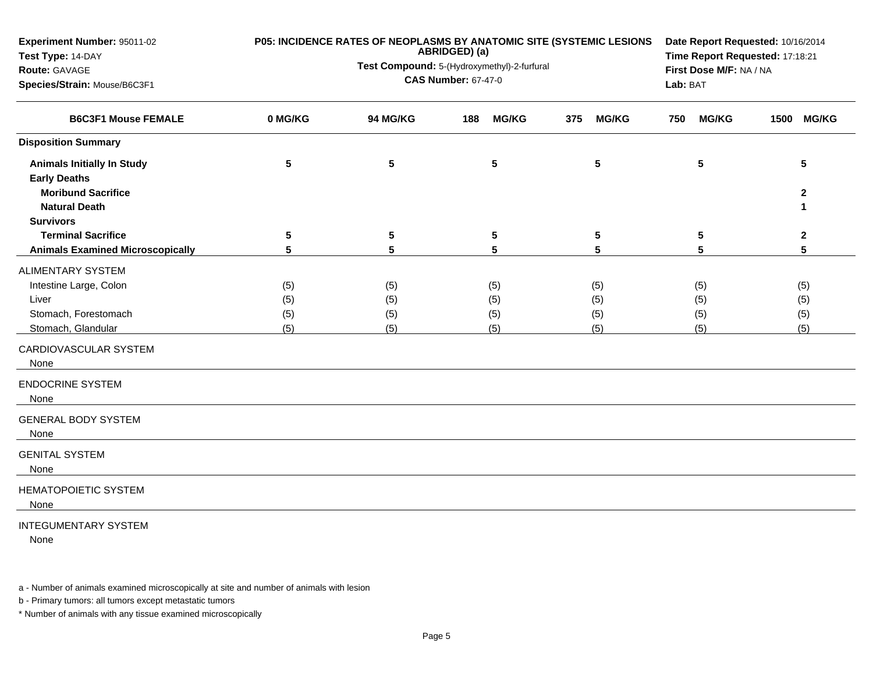| Experiment Number: 95011-02<br>Test Type: 14-DAY<br>Route: GAVAGE<br>Species/Strain: Mouse/B6C3F1 |         | P05: INCIDENCE RATES OF NEOPLASMS BY ANATOMIC SITE (SYSTEMIC LESIONS<br>ABRIDGED) (a)<br>Test Compound: 5-(Hydroxymethyl)-2-furfural<br><b>CAS Number: 67-47-0</b> | Date Report Requested: 10/16/2014<br>Time Report Requested: 17:18:21<br>First Dose M/F: NA / NA<br>Lab: BAT |                     |                     |                      |
|---------------------------------------------------------------------------------------------------|---------|--------------------------------------------------------------------------------------------------------------------------------------------------------------------|-------------------------------------------------------------------------------------------------------------|---------------------|---------------------|----------------------|
| <b>B6C3F1 Mouse FEMALE</b>                                                                        | 0 MG/KG | 94 MG/KG                                                                                                                                                           | <b>MG/KG</b><br>188                                                                                         | 375<br><b>MG/KG</b> | <b>MG/KG</b><br>750 | <b>MG/KG</b><br>1500 |
| <b>Disposition Summary</b>                                                                        |         |                                                                                                                                                                    |                                                                                                             |                     |                     |                      |
| <b>Animals Initially In Study</b><br><b>Early Deaths</b><br><b>Moribund Sacrifice</b>             | 5       | 5                                                                                                                                                                  | $5\phantom{.0}$                                                                                             | 5                   | 5                   | 5<br>$\mathbf{2}$    |
| <b>Natural Death</b>                                                                              |         |                                                                                                                                                                    |                                                                                                             |                     |                     | 1                    |
| <b>Survivors</b><br><b>Terminal Sacrifice</b>                                                     | 5       | 5                                                                                                                                                                  | 5                                                                                                           | 5                   | 5                   | $\mathbf{2}$         |
| <b>Animals Examined Microscopically</b>                                                           | 5       | 5                                                                                                                                                                  | 5                                                                                                           | 5                   | 5                   | 5                    |
| ALIMENTARY SYSTEM                                                                                 |         |                                                                                                                                                                    |                                                                                                             |                     |                     |                      |
| Intestine Large, Colon                                                                            | (5)     | (5)                                                                                                                                                                | (5)                                                                                                         | (5)                 | (5)                 | (5)                  |
| Liver                                                                                             | (5)     | (5)                                                                                                                                                                | (5)                                                                                                         | (5)                 | (5)                 | (5)                  |
| Stomach, Forestomach                                                                              | (5)     | (5)                                                                                                                                                                | (5)                                                                                                         | (5)                 | (5)                 | (5)                  |
| Stomach, Glandular                                                                                | (5)     | (5)                                                                                                                                                                | (5)                                                                                                         | (5)                 | (5)                 | (5)                  |
| CARDIOVASCULAR SYSTEM<br>None                                                                     |         |                                                                                                                                                                    |                                                                                                             |                     |                     |                      |
| <b>ENDOCRINE SYSTEM</b><br>None                                                                   |         |                                                                                                                                                                    |                                                                                                             |                     |                     |                      |
| <b>GENERAL BODY SYSTEM</b><br>None                                                                |         |                                                                                                                                                                    |                                                                                                             |                     |                     |                      |
| <b>GENITAL SYSTEM</b><br>None                                                                     |         |                                                                                                                                                                    |                                                                                                             |                     |                     |                      |
| <b>HEMATOPOIETIC SYSTEM</b><br>None                                                               |         |                                                                                                                                                                    |                                                                                                             |                     |                     |                      |
| <b>INTEGUMENTARY SYSTEM</b>                                                                       |         |                                                                                                                                                                    |                                                                                                             |                     |                     |                      |

None

a - Number of animals examined microscopically at site and number of animals with lesion

b - Primary tumors: all tumors except metastatic tumors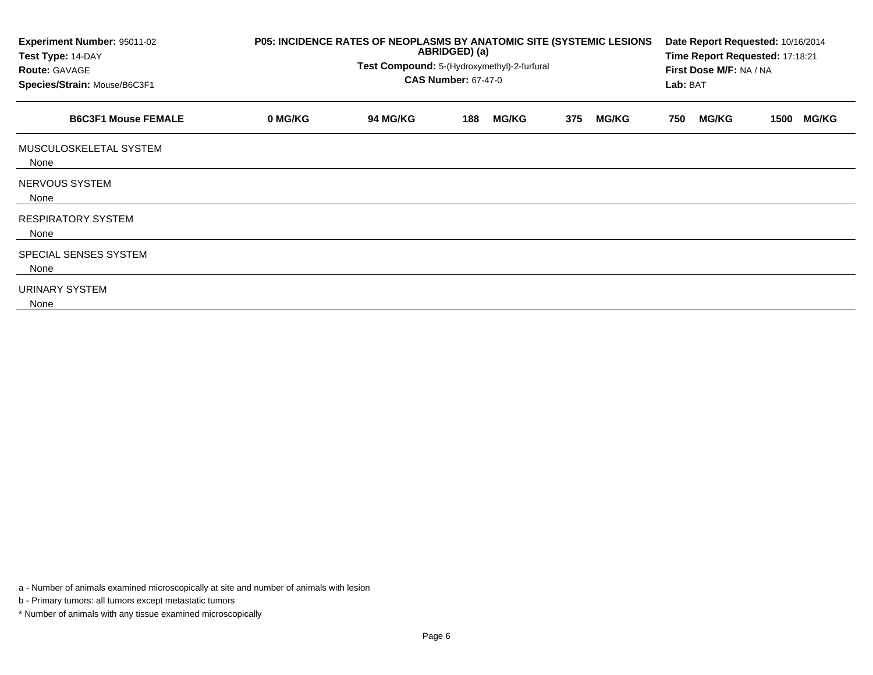| Experiment Number: 95011-02<br>Test Type: 14-DAY<br><b>Route: GAVAGE</b><br>Species/Strain: Mouse/B6C3F1 | P05: INCIDENCE RATES OF NEOPLASMS BY ANATOMIC SITE (SYSTEMIC LESIONS<br>ABRIDGED) (a)<br>Test Compound: 5-(Hydroxymethyl)-2-furfural<br><b>CAS Number: 67-47-0</b> |                 |     |              |     |              |     | Date Report Requested: 10/16/2014<br>Time Report Requested: 17:18:21<br>First Dose M/F: NA / NA<br>Lab: BAT |      |              |  |
|----------------------------------------------------------------------------------------------------------|--------------------------------------------------------------------------------------------------------------------------------------------------------------------|-----------------|-----|--------------|-----|--------------|-----|-------------------------------------------------------------------------------------------------------------|------|--------------|--|
| <b>B6C3F1 Mouse FEMALE</b>                                                                               | 0 MG/KG                                                                                                                                                            | <b>94 MG/KG</b> | 188 | <b>MG/KG</b> | 375 | <b>MG/KG</b> | 750 | <b>MG/KG</b>                                                                                                | 1500 | <b>MG/KG</b> |  |
| MUSCULOSKELETAL SYSTEM<br>None                                                                           |                                                                                                                                                                    |                 |     |              |     |              |     |                                                                                                             |      |              |  |
| NERVOUS SYSTEM<br>None                                                                                   |                                                                                                                                                                    |                 |     |              |     |              |     |                                                                                                             |      |              |  |
| <b>RESPIRATORY SYSTEM</b><br>None                                                                        |                                                                                                                                                                    |                 |     |              |     |              |     |                                                                                                             |      |              |  |
| SPECIAL SENSES SYSTEM<br>None                                                                            |                                                                                                                                                                    |                 |     |              |     |              |     |                                                                                                             |      |              |  |
| URINARY SYSTEM<br>None                                                                                   |                                                                                                                                                                    |                 |     |              |     |              |     |                                                                                                             |      |              |  |

a - Number of animals examined microscopically at site and number of animals with lesion

b - Primary tumors: all tumors except metastatic tumors